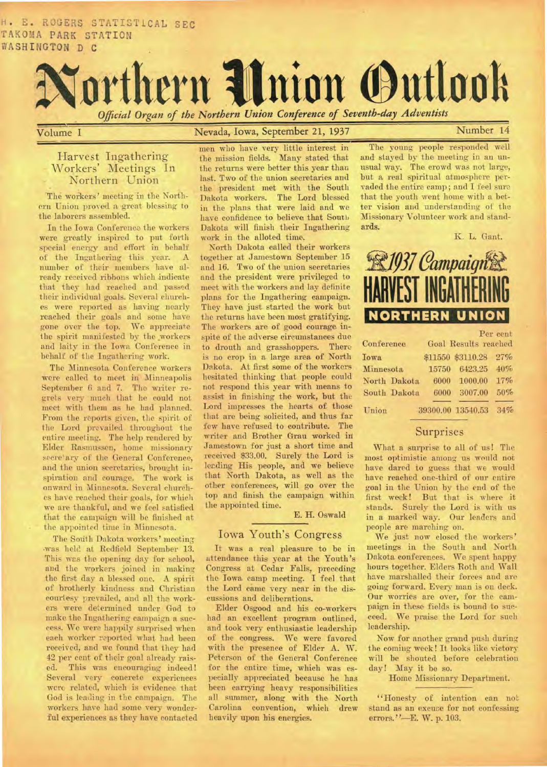H. E. ROGERS STATISTICAL SEC TAKOMA PARK STATION WASHINGTON D C



Volume **I** Nevada, Iowa, September 21, 1937 **Number 14** 

## Harvest Ingathering Workers' Meetings In Northern Union

The workers' meeting in the Northern Union proved a great blessing to the laborers assembled.

In the Iowa Conference the workers were greatly inspired to put forth special energy and effort in behalf of the Ingathering this year. A number of their members have already received ribbons which indicate that they had reached and passed their individual goals. Several churches were reported as having nearly reached their goals and some have gone over the top. We appreciate the spirit manifested by the workers and laity in the Iowa Conference in behalf of the Ingathering work.

The Minnesota Conference workers were called to meet in Minneapolis September 6 and 7. The writer regrets very much that he could not meet with them as he had planned. From the reports given, the spirit of the Lord prevailed throughout the entire meeting. The help rendered by Elder Rasmussen, home missionary secre'ary of the General Conference, and the union secretaries, brought inspiration and courage. The work is onward in Minnesota. Several churches have reached their goals, for which we are thankful, and we feel satisfied that the campaign will be finished at the appointed time in Minnesota.

The South Dakota workers' meeting -was held at Redfield September 13. This was the opening day for school, and the workers joined in making the first day a blessed one. A spirit of brotherly kindness and Christian courtesy prevailed, and all the workers were determined under God to make the Ingathering campaign a success. We were happily surprised when each worker reported what had *been*  received, and we found that they had 42 per cent of their goal already raised. This was encouraging indeed! Several very concrete experiences were related, which is evidence that God is leading in the campaign. The workers have had some very wonderful experiences as they have contacted

men who have very little interest in the mission fields. Many stated that the returns were better this year than last. Two of the union secretaries and the president met with the South Dakota workers. The Lord blessed in the plans that were laid and we have confidence to believe that South Dakota will finish their Ingathering work in the alloted time.

North Dakota called their workers together at Jamestown September 15 and 16. Two of the union secretaries and the president were privileged to meet with the workers and lay definite plans for the Ingathering campaign. They have just started the work but the returns have been most gratifying. The workers are of good courage inspite of the adverse circumstances due to drouth and grasshoppers. There is no crop in a large area of North Dakota. At first some of the workers hesitated thinking that people could not respond this year with means to assist in finishing the work, but the Lord impresses the hearts of those that are being solicited, and thus far few have refused to contribute. The writer and Brother Grau worked in Jamestown for just a short time and received \$33.00. Surely the Lord is leading His people, and we believe that North Dakota, as well as the other conferences, will go over the top and finish the campaign within the appointed time.

E. H. Oswald

### Iowa Youth's Congress

It was a real pleasure to be in attendance this year at the Youth's Congress at Cedar Falls, preceding the Iowa camp meeting. I feel that the Lord came very near in the discussions and deliberations.

Elder Osgood and his co-workers had an excellent program outlined, and took very enthusiastic leadership of the congress. We were favored with the presence of Elder A. W. Peterson of the General Conference for the entire time, which was especially appreciated because he has been carrying heavy responsibilities all summer, along with the North Carolina convention, which drew heavily upon his energies.

The young people responded well and stayed by the meeting in an unusual way. The crowd was not large, but. a, real spiritual atmosphere pervaded the entire camp; and I feel sure that the youth went home with a better vision and understanding of the Missionary Volunteer work and standards.

K. L. Gant.



| Conference   |       | Goal Results reached | Per cent |
|--------------|-------|----------------------|----------|
| <b>Iowa</b>  |       | \$11550 \$3110.28    | 27%      |
| Minnesota    | 15750 | 6423.25              | 40%      |
| North Dakota | 6000  | 1000.00              | 17%      |
| South Dakota | 6000  | 3007.00              | 50%      |
| Union        |       | 39300,00 13540.53    | 34%      |

## Surprises

What a surprise to all of us! The most optimistic among us would not have dared to guess that we would have reached one-third of our entire goal in the Union by the end of the first week! But that is where it stands. Surely the Lord is with us in a marked way. Our leaders and people are marching on.

We just now closed the workers' meetings in the South and North Dakota conferences. We spent happy hours together. Elders Roth and Wall have marshalled their forces and are going forward. Every man is on deck. Our worries are over, for the campaign in these fields is bound to succeed. We praise the Lord for such leadership.

Now for another grand push during the coming week! It looks like victory will be shouted before celebration day! May it be so.

Home Missionary Department.

"Honesty of intention can not stand as an excuse for not confessing errors."—E. W. p. 103.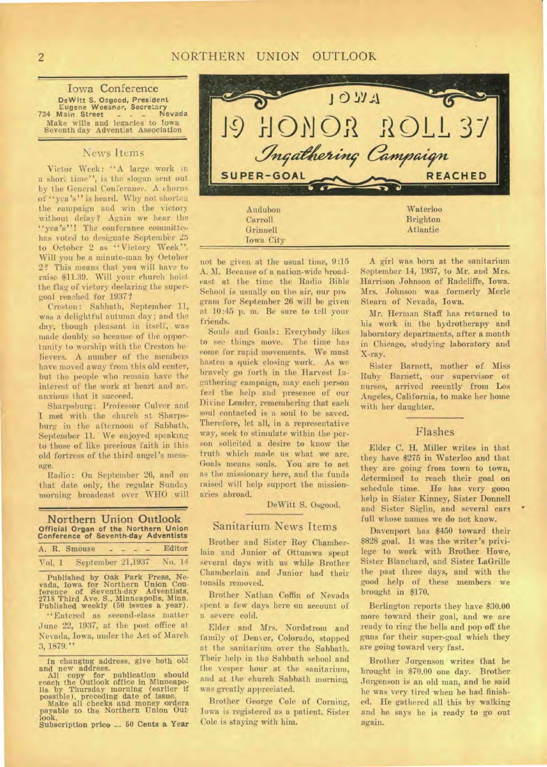Iowa Conference DeWitt S. Osgood, President Eugene Woesner, Secretary 734 Main Street \_ \_ \_ Nevada 734 Main Street - - - Nevar<br>Make wills and legacies to Iowa Seventh day Adventist Association

### News Items

Victor Week: "A large work in a short time", is the slogan sent out by the General Conferanee. A chorus of "yea's" is heard. Why not shorten the campaign and win the victorywithout delay? Again we hear the "yea's"! The conferance committee has voted to designate September 25 to October 2 as "Victory Week". Will you be a minute-man by October 2? This means that you will have to raise. \$11.39. Will your church hoist the flag of victory declaring the supergoal reached for 1937?

Creston: Sabbath, September 11, was a delightful autumn day; and the day, though pleasant in itself, was made doubly so because of the opportunity to worship with the Creston believers. A number of the members have moved away from this old center, but the people who remain have the interest of the work at heart and are anxious that it succeed.

Sharpsburg: Professor Culver and I met with the church at Sharpsburg in the afternoon of Sabbath, September 11. We enjoyed speaking to those of like precious faith in this old fortress of the third angel's message.

Radio: On September 26, and on that date only, the regular Sunday morning broadcast over WHO will

Northern Union Outlook Official Organ of the Northern Union Conference of Seventh-day Adventists

|        | A. R. Smouse      |  |  | Editor |  |
|--------|-------------------|--|--|--------|--|
| Vol. 1 | September 21,1937 |  |  | No. 14 |  |

Published by Oak Park Prese, Ne-vada, Iowa. for Northern Union Con-ference of Seventh-day Adventists, 2718 Third Ave. S., Minneapolis, Minn. Published weekly (50 issues a year).

"Entered as second-class matter June 22, 1937, at the post office at. Nevada, Iowa, under the Act of March 3, 1879."

In changing address, give both old<br>and new address.<br>All copy for publication should<br>reach the Outlook office in Minneapo-<br>reach the Outlook office in Minneapo-<br>lis by Thursday morning (earlier if<br>possible), preceding date payable to the Northern Union Outlook.

Subscription price -- 50 Cents a Year



not be given at the usual time, 9:15 A. M. Because of a nation-wide broadcast at the time. the Radio Bible School is usually on the air, our pro gram for September 26 will be given at 10:45 p. in. Be sure to tell your friends.

Souls and Goals: Everybody likes to see things move. The time has come for rapid movements. We must hasten a quick closing work. As we bravely go forth in the Harvest Ingathering campaign, may each person feel the help and presence of our Divine Leader, remembering that each soul contacted is a soul to be saved. Therefore, let all, in a representative way, seek to stimulate within the person solicited a desire to know the truth which made us what we are. Goals means souls. You are to act as the missionary here, and the funds raised will help support the missionaries abroad.

DeWitt S. Osgood.

#### Sanitarium. News Items

Brother and Sister Roy Chamberlain and Junior of Ottumwa spent several days with us while Brother Chamberlain and Junior had their tonsils removed.

Brother Nathan Coffin of Nevada spent a few days here on account of a severe cold.

Elder and Mrs. Nordstrom and family of Denver, Colorado, stopped at the sanitarium over the Sabbath. Their help in the Sabbath school and the vesper hour at the sanitarium, and at the church Sabbath morning, was greatly appreciated.

Brother George Cole of Corning, Iowa is registered as a patient. Sister Cole is staying with him.

A girl was born at the sanitarium September 14, 1937, to Mr. and Mrs. Harrison Johnson of Radcliffe, Iowa. Mrs. Johnson was formerly Merle Stearn of Nevada, Iowa.

Mr. Herman Staff has returned to his work in the hydrotherapy and laboratory departments, after a month in Chicago, studying laboratory and X-ray.

Sister Barnett, mother of Miss Ruby Barnett, our supervisor of nurses, arrived recently from Los Angeles, California, to make her home with her daughter.

## Flashes

Elder C. H. Miller writes in that they have \$275 in Waterloo and that they are going from town to town, determined to reach their goal on schedule time. He has very goon help in Sister Kinney, Sister Donnell and Sister Siglin, and several cars full whose names we do not know.

Davenport has \$450 toward their \$828 goal. It was the writer's privilege to work with Brother Howo, Sister Blanchard, and Sister LaGrille the past three days, and with the good help of these members we brought in \$170.

Berlington reports they have \$30.00 more toward their goal, and we are ready to ring the bells and pop off the guns for their super-goal which they are going toward very fast.

Brother Jorgenson writes that he brought in \$70.00 one day. Brother Jorgenson is an old man, and he said he was very tired when he had finished. He gathered all this by walking and he says he is ready to go out again.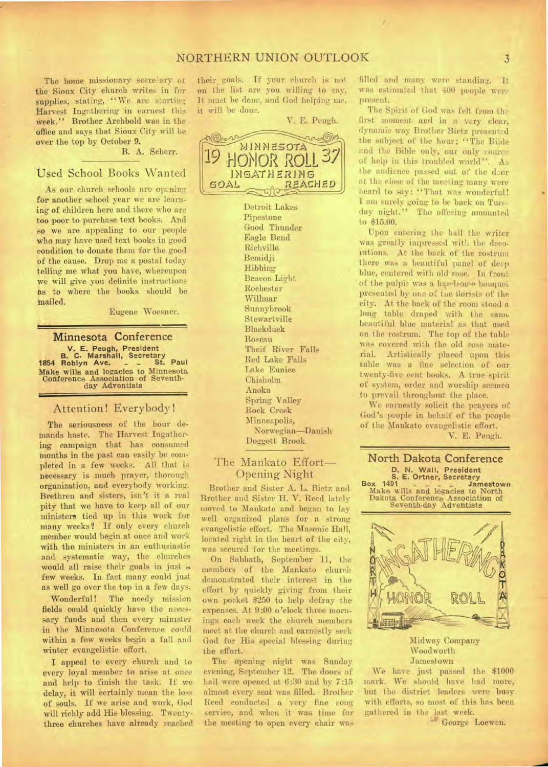# NORTHERN UNION OUTLOOK 3

The home missionary secretary of the Sioux City church writes in for supplies, stating, "We are starting Harvest Ingothering 'in earnest this week." Brother Archbold was in the 'office and says that Sioux City will be over the top by October 9.

B. A. Scherr.

## Used School Books Wanted

As our church schools are optning for another school year we arc learning of children here and there who are too poor to purchase text books. And so we are appealing to our people who may have used text books in good condition to donate them for the good of the cause. Drop me a postal today telling me what you have, whereupon we will give you definite instructions as to where the books should be mailed.

Eugene Woesner.

**Minnesota Conference V. E. Peugh, President B. C. Marshall, Secretary 1854 Roblyn Ave. \_ \_ St. Paul Make wills and legacies** to Minnesota Conference Association of Seventh-day Adventists

## Attention! Everybody!

The seriousness of the hour demands haste. The Harvest Ingathoring campaign that has consumed months in the past can easily be completed in a few weeks. All that is necessary is much prayer, thorough organization, and everybody working. Brethren and sisters, isn't it a real pity that we have to keep all of our ministers tied up in this work for many weeks? If only every church member would begin at once and work with the ministers in an enthusiastic and systematic way, the churches would all raise their goals in just  $\alpha$ few weeks. In fact many could just as well go over the top in a few days.

Wonderful! The needy mission fields could quickly have the necessary funds and then every minister in the Minnesota Conference could within a few weeks begin a fall and winter evangelistic effort.

I appeal to every church and to every loyal member to arise at once and help to finish the task. If we delay, it will certainly mean the loss of souls. If we arise and work, God will richly add His blessing. Twentythree churches have already reached

their goals. If your church is not on the list are you willing to say, It must he done, and God helping me, it will be done.

V. E. Peugh.



Detroit Lakes Pipestone Good Thunder Eagle Bend Richville Bemidji Hibbing Beacon Light Rochester Willmar Sunnybrook Stewartville Blackduck Roseau Theif River Falls Red Lake Falls Lake Eunice Chisholm Anoka Spring Valley Rock Creek Minneapolis, Norwegian—Danish Doggett Brook.

## The Mankato Effort— Opening Night

Brother and Sister A. L. Bietz and Brother and Sister H. V. Reed latcly moved to Mankato and began to lay well organized plans for a strong evangelistic effort. The Masonic Hall, located right in the heart of the city, was secured for the meetings.

On Sabbath, September 11, the members of the Mankato church demonstrated their interest in the effort by quickly giving from their own pocket \$250 to help defray the expenses. At 9:00 o'clock three mornings each week the church members meet at the church and earnestly seek God for His special blessing during the effort.

The opening night was Sunday evening, September 12. The doors of hall were opened at 6:30 and by 7:15 almost every seat was filled. Brother Reed conducted a very fine song service, and when it was time for the meeting to open every chair was

filled and many were standing. It was estimated that 400 people were present.

The Spirit of God was felt from the first moment and in a very clear, dynamic way Brother Bietz presented the subject of the hour; "The Bible and the Bible only, our only source of help in this troubled world". As the audience passed out of the deor at the close of the meeting many were heard to say: "That was wonderful! I am surely going to be back on Tuesday night." The offering amounted to \$15.00.

Upon entering the ball the writer was greatly impressed with the decorations. At the back of the rostrum there was a beautiful panel of deep blue, centered with old rose. In front of the pulpit was a handsome bouquet presented by one of the florists of the city. At the back of the room stood a long table draped with the same beautiful blue material as that used on the rostrum. The top of the table was covered with the old rose material. Artistically placed upon this table was a fine selection of our twenty-five cent books. A true spirit of system, order and worship seemed to prevail throughout the place.

We earnestly solicit the prayers of God's people in behalf of the people of the Mankato evangelistic effort.

V. E. Peugh.





Midway Company Woodworth Jamestown

We have just passed the \$1000 mark. We should have had more, but the district leaders were busy with efforts, so most of this has been gathered in the last week.

George Loewen.